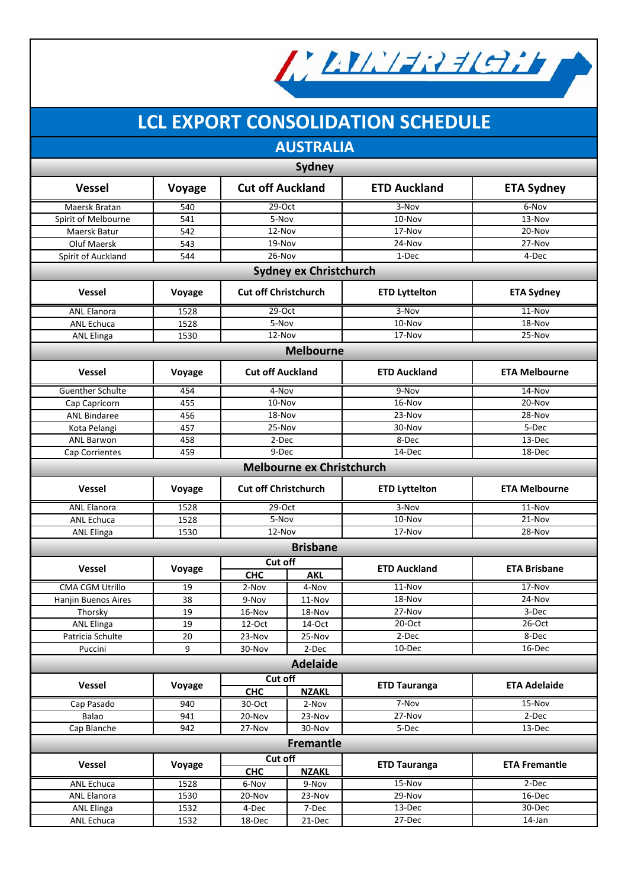

# **LCL EXPORT CONSOLIDATION SCHEDULE**

**AUSTRALIA**

| <b>Sydney</b>                    |        |                                       |                 |                      |                      |  |  |  |  |
|----------------------------------|--------|---------------------------------------|-----------------|----------------------|----------------------|--|--|--|--|
| <b>Vessel</b>                    | Voyage | <b>Cut off Auckland</b>               |                 | <b>ETD Auckland</b>  | <b>ETA Sydney</b>    |  |  |  |  |
| Maersk Bratan                    | 540    | $29-Oct$                              |                 | $3-Nov$              | 6-Nov                |  |  |  |  |
| Spirit of Melbourne              | 541    | 5-Nov                                 |                 | 10-Nov               | 13-Nov               |  |  |  |  |
| Maersk Batur                     | 542    | 12-Nov                                |                 | 17-Nov               | 20-Nov               |  |  |  |  |
| Oluf Maersk                      | 543    | 19-Nov                                |                 | 24-Nov               | 27-Nov               |  |  |  |  |
| Spirit of Auckland               | 544    | 26-Nov                                |                 | 1-Dec                | 4-Dec                |  |  |  |  |
| <b>Sydney ex Christchurch</b>    |        |                                       |                 |                      |                      |  |  |  |  |
| <b>Vessel</b>                    | Voyage | <b>Cut off Christchurch</b>           |                 | <b>ETD Lyttelton</b> | <b>ETA Sydney</b>    |  |  |  |  |
| <b>ANL Elanora</b>               | 1528   | $29-Oct$                              |                 | $3-Nov$              | $11-Nov$             |  |  |  |  |
| <b>ANL Echuca</b>                | 1528   | 5-Nov                                 |                 | 10-Nov               | 18-Nov               |  |  |  |  |
| <b>ANL Elinga</b>                | 1530   | 12-Nov                                |                 | 17-Nov               | 25-Nov               |  |  |  |  |
| <b>Melbourne</b>                 |        |                                       |                 |                      |                      |  |  |  |  |
| <b>Vessel</b>                    | Voyage | <b>Cut off Auckland</b>               |                 | <b>ETD Auckland</b>  | <b>ETA Melbourne</b> |  |  |  |  |
| Guenther Schulte                 | 454    | 4-Nov                                 |                 | 9-Nov                | 14-Nov               |  |  |  |  |
| Cap Capricorn                    | 455    | 10-Nov                                |                 | 16-Nov               | 20-Nov               |  |  |  |  |
| <b>ANL Bindaree</b>              | 456    | 18-Nov                                |                 | 23-Nov               | 28-Nov               |  |  |  |  |
| Kota Pelangi                     | 457    | 25-Nov                                |                 | 30-Nov               | 5-Dec                |  |  |  |  |
| <b>ANL Barwon</b>                | 458    | 2-Dec                                 |                 | 8-Dec                | 13-Dec               |  |  |  |  |
| Cap Corrientes                   | 459    | $9$ -Dec                              |                 | 14-Dec               | 18-Dec               |  |  |  |  |
| <b>Melbourne ex Christchurch</b> |        |                                       |                 |                      |                      |  |  |  |  |
| <b>Vessel</b>                    | Voyage | <b>Cut off Christchurch</b>           |                 | <b>ETD Lyttelton</b> | <b>ETA Melbourne</b> |  |  |  |  |
| <b>ANL Elanora</b>               | 1528   | 29-Oct                                |                 | 3-Nov                | 11-Nov               |  |  |  |  |
| <b>ANL Echuca</b>                | 1528   | 5-Nov                                 |                 | 10-Nov               | 21-Nov               |  |  |  |  |
| <b>ANL Elinga</b>                | 1530   | 12-Nov                                |                 | 17-Nov               | 28-Nov               |  |  |  |  |
|                                  |        |                                       | <b>Brisbane</b> |                      |                      |  |  |  |  |
|                                  |        | Cut off                               |                 |                      |                      |  |  |  |  |
| Vessel                           | Voyage | <b>CHC</b>                            | <b>AKL</b>      | <b>ETD Auckland</b>  | <b>ETA Brisbane</b>  |  |  |  |  |
| <b>CMA CGM Utrillo</b>           | 19     | 2-Nov                                 | 4-Nov           | $11 - Nov$           | $17 - Nov$           |  |  |  |  |
| Hanjin Buenos Aires              | 38     | 9-Nov                                 | 11-Nov          | 18-Nov               | 24-Nov               |  |  |  |  |
| Thorsky                          | 19     | 16-Nov                                | 18-Nov          | 27-Nov               | 3-Dec                |  |  |  |  |
| <b>ANL Elinga</b>                | 19     | 12-Oct                                | 14-Oct          | $20$ -Oct            | 26-Oct               |  |  |  |  |
| Patricia Schulte                 | 20     | 23-Nov                                | 25-Nov          | 2-Dec                | 8-Dec                |  |  |  |  |
| Puccini                          | 9      | 30-Nov                                | 2-Dec           | 10-Dec               | 16-Dec               |  |  |  |  |
|                                  |        |                                       | <b>Adelaide</b> |                      |                      |  |  |  |  |
|                                  |        | Cut off                               |                 |                      |                      |  |  |  |  |
| Vessel                           | Voyage | <b>CHC</b><br><b>NZAKL</b>            |                 | <b>ETD Tauranga</b>  | <b>ETA Adelaide</b>  |  |  |  |  |
| Cap Pasado                       | 940    | 30-Oct                                | 2-Nov           | 7-Nov                | 15-Nov               |  |  |  |  |
| Balao                            | 941    | 20-Nov                                | 23-Nov          | 27-Nov               | 2-Dec                |  |  |  |  |
| Cap Blanche                      | 942    | 27-Nov                                | 30-Nov          | 5-Dec                | 13-Dec               |  |  |  |  |
| <b>Fremantle</b>                 |        |                                       |                 |                      |                      |  |  |  |  |
| Vessel                           | Voyage | Cut off<br><b>CHC</b><br><b>NZAKL</b> |                 | <b>ETD Tauranga</b>  | <b>ETA Fremantle</b> |  |  |  |  |
|                                  |        |                                       |                 |                      |                      |  |  |  |  |
| ANL Echuca                       | 1528   | 6-Nov                                 | 9-Nov           | $15-Nov$             | $2-Dec$              |  |  |  |  |
| <b>ANL Elanora</b>               | 1530   | 20-Nov<br>23-Nov                      |                 | 29-Nov               | 16-Dec               |  |  |  |  |
| <b>ANL Elinga</b>                | 1532   | 4-Dec<br>7-Dec                        |                 | 13-Dec               | 30-Dec               |  |  |  |  |
| ANL Echuca                       | 1532   | 18-Dec<br>21-Dec                      |                 | 27-Dec               | 14-Jan               |  |  |  |  |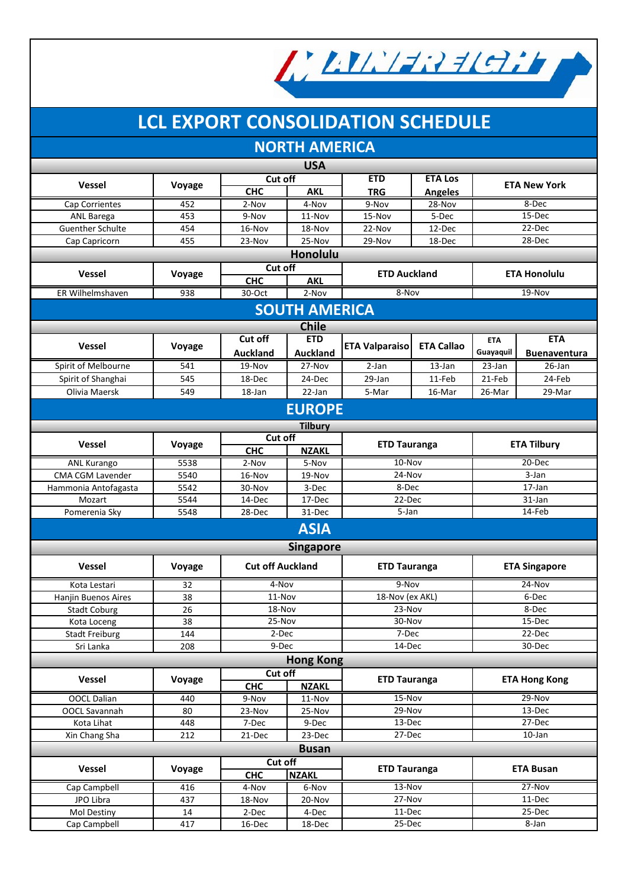

# **LCL EXPORT CONSOLIDATION SCHEDULE**

### **NORTH AMERICA**

| <b>USA</b>              |        |                            |                  |                                            |                     |                      |                     |  |  |  |
|-------------------------|--------|----------------------------|------------------|--------------------------------------------|---------------------|----------------------|---------------------|--|--|--|
|                         |        | Cut off                    |                  | <b>ETD</b><br><b>ETA Los</b>               |                     | <b>ETA New York</b>  |                     |  |  |  |
| <b>Vessel</b>           | Voyage | <b>CHC</b><br><b>AKL</b>   |                  | <b>TRG</b>                                 | <b>Angeles</b>      |                      |                     |  |  |  |
| Cap Corrientes          | 452    | 2-Nov                      | 4-Nov            | 9-Nov                                      | 28-Nov              | 8-Dec                |                     |  |  |  |
| <b>ANL Barega</b>       | 453    | 9-Nov                      | 11-Nov           | 15-Nov                                     | 5-Dec               |                      | 15-Dec              |  |  |  |
| <b>Guenther Schulte</b> | 454    | 16-Nov                     | 18-Nov           | 22-Nov                                     | 12-Dec              |                      | 22-Dec              |  |  |  |
| Cap Capricorn           | 455    | 23-Nov                     | 25-Nov           | 29-Nov                                     | 18-Dec              |                      | 28-Dec              |  |  |  |
| <b>Honolulu</b>         |        |                            |                  |                                            |                     |                      |                     |  |  |  |
|                         |        | Cut off                    |                  |                                            |                     |                      |                     |  |  |  |
| <b>Vessel</b>           | Voyage | <b>CHC</b>                 | <b>AKL</b>       | <b>ETD Auckland</b><br><b>ETA Honolulu</b> |                     |                      |                     |  |  |  |
| ER Wilhelmshaven        | 938    | 30-Oct                     | 2-Nov            | 8-Nov                                      |                     | 19-Nov               |                     |  |  |  |
| <b>SOUTH AMERICA</b>    |        |                            |                  |                                            |                     |                      |                     |  |  |  |
|                         |        |                            | <b>Chile</b>     |                                            |                     |                      |                     |  |  |  |
| <b>Vessel</b>           |        | Cut off                    | <b>ETD</b>       | <b>ETA Valparaiso</b>                      | <b>ETA Callao</b>   | <b>ETA</b>           | <b>ETA</b>          |  |  |  |
|                         | Voyage | <b>Auckland</b>            | <b>Auckland</b>  |                                            |                     | Guayaquil            | <b>Buenaventura</b> |  |  |  |
| Spirit of Melbourne     | 541    | 19-Nov                     | $27 - Nov$       | $2-Jan$                                    | 13-Jan              | 23-Jan               | $26$ -Jan           |  |  |  |
| Spirit of Shanghai      | 545    | 18-Dec                     | 24-Dec           | 29-Jan                                     | 11-Feb              | 21-Feb               | 24-Feb              |  |  |  |
| Olivia Maersk           | 549    | 18-Jan                     | 22-Jan           | 5-Mar                                      | 16-Mar              | 26-Mar               | 29-Mar              |  |  |  |
| <b>EUROPE</b>           |        |                            |                  |                                            |                     |                      |                     |  |  |  |
|                         |        |                            | <b>Tilbury</b>   |                                            |                     |                      |                     |  |  |  |
| <b>Vessel</b>           |        | Cut off                    |                  |                                            |                     |                      |                     |  |  |  |
|                         | Voyage | <b>CHC</b>                 | <b>NZAKL</b>     | <b>ETD Tauranga</b>                        |                     | <b>ETA Tilbury</b>   |                     |  |  |  |
| <b>ANL Kurango</b>      | 5538   | 2-Nov                      | 5-Nov            | $10 - Nov$                                 |                     | 20-Dec               |                     |  |  |  |
| CMA CGM Lavender        | 5540   | 16-Nov                     | 19-Nov           | 24-Nov                                     |                     | 3-Jan                |                     |  |  |  |
| Hammonia Antofagasta    | 5542   | 30-Nov                     | 3-Dec            | 8-Dec                                      |                     | 17-Jan               |                     |  |  |  |
| Mozart                  | 5544   | 14-Dec                     | 17-Dec           | 22-Dec                                     |                     | 31-Jan               |                     |  |  |  |
| Pomerenia Sky           | 5548   | 28-Dec                     | 31-Dec           | 5-Jan                                      |                     | 14-Feb               |                     |  |  |  |
|                         |        |                            | <b>ASIA</b>      |                                            |                     |                      |                     |  |  |  |
|                         |        |                            | <b>Singapore</b> |                                            |                     |                      |                     |  |  |  |
| <b>Vessel</b>           | Voyage | <b>Cut off Auckland</b>    |                  | <b>ETD Tauranga</b>                        |                     | <b>ETA Singapore</b> |                     |  |  |  |
| Kota Lestari            | 32     | 4-Nov                      |                  | 9-Nov                                      |                     | $24-Nov$             |                     |  |  |  |
| Hanjin Buenos Aires     | 38     | $11-Nov$                   |                  | 18-Nov (ex AKL)                            |                     | 6-Dec                |                     |  |  |  |
| <b>Stadt Coburg</b>     | 26     | 18-Nov                     |                  | 23-Nov                                     |                     | 8-Dec                |                     |  |  |  |
| Kota Loceng             | 38     | 25-Nov                     |                  | 30-Nov                                     |                     | 15-Dec               |                     |  |  |  |
| <b>Stadt Freiburg</b>   | 144    | 2-Dec                      |                  | 7-Dec                                      |                     | 22-Dec               |                     |  |  |  |
| Sri Lanka               | 208    | 9-Dec                      |                  | 14-Dec                                     |                     | 30-Dec               |                     |  |  |  |
|                         |        |                            | <b>Hong Kong</b> |                                            |                     |                      |                     |  |  |  |
|                         |        | Cut off                    |                  |                                            |                     |                      |                     |  |  |  |
| Vessel                  | Voyage | <b>CHC</b>                 | <b>NZAKL</b>     | <b>ETD Tauranga</b>                        |                     | <b>ETA Hong Kong</b> |                     |  |  |  |
| <b>OOCL Dalian</b>      | 440    | 9-Nov                      | 11-Nov           |                                            | 15-Nov              |                      | 29-Nov              |  |  |  |
| OOCL Savannah           | 80     | 23-Nov                     | 25-Nov           |                                            | 29-Nov              |                      | 13-Dec              |  |  |  |
| Kota Lihat              | 448    | 7-Dec                      | 9-Dec            |                                            | 13-Dec              |                      | 27-Dec              |  |  |  |
| Xin Chang Sha           | 212    | 21-Dec                     | 23-Dec           | 27-Dec                                     |                     | 10-Jan               |                     |  |  |  |
| <b>Busan</b>            |        |                            |                  |                                            |                     |                      |                     |  |  |  |
| <b>Vessel</b>           | Voyage | Cut off                    |                  |                                            | <b>ETD Tauranga</b> |                      | <b>ETA Busan</b>    |  |  |  |
|                         |        | <b>CHC</b><br><b>NZAKL</b> |                  |                                            |                     |                      |                     |  |  |  |
| Cap Campbell            | 416    | 4-Nov                      | 6-Nov            | 13-Nov                                     |                     |                      | 27-Nov              |  |  |  |
| JPO Libra               | 437    | 18-Nov                     | 20-Nov           | 27-Nov                                     |                     | 11-Dec               |                     |  |  |  |
| Mol Destiny             | 14     | 2-Dec                      | 4-Dec            | 11-Dec                                     |                     |                      | 25-Dec              |  |  |  |
| Cap Campbell            | 417    | 16-Dec                     | 18-Dec           | 25-Dec                                     |                     | 8-Jan                |                     |  |  |  |